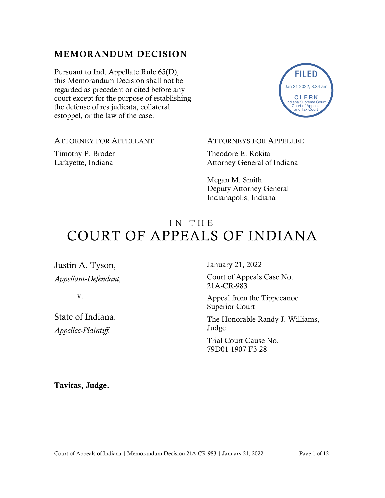## MEMORANDUM DECISION

Pursuant to Ind. Appellate Rule 65(D), this Memorandum Decision shall not be regarded as precedent or cited before any court except for the purpose of establishing the defense of res judicata, collateral estoppel, or the law of the case.



ATTORNEY FOR APPELLANT

Timothy P. Broden Lafayette, Indiana

ATTORNEYS FOR APPELLEE

Theodore E. Rokita Attorney General of Indiana

Megan M. Smith Deputy Attorney General Indianapolis, Indiana

# IN THE COURT OF APPEALS OF INDIANA

Justin A. Tyson, *Appellant-Defendant,*

v.

State of Indiana, *Appellee-Plaintiff.*

January 21, 2022

Court of Appeals Case No. 21A-CR-983

Appeal from the Tippecanoe Superior Court

The Honorable Randy J. Williams, Judge

Trial Court Cause No. 79D01-1907-F3-28

Tavitas, Judge.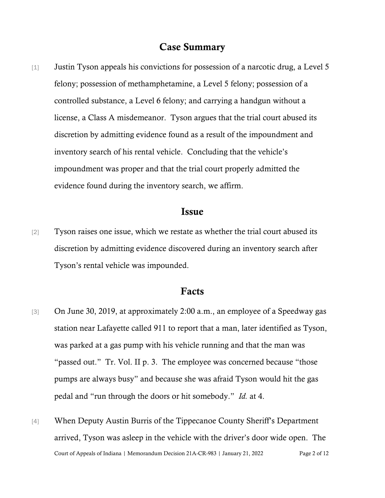## Case Summary

[1] Justin Tyson appeals his convictions for possession of a narcotic drug, a Level 5 felony; possession of methamphetamine, a Level 5 felony; possession of a controlled substance, a Level 6 felony; and carrying a handgun without a license, a Class A misdemeanor. Tyson argues that the trial court abused its discretion by admitting evidence found as a result of the impoundment and inventory search of his rental vehicle. Concluding that the vehicle's impoundment was proper and that the trial court properly admitted the evidence found during the inventory search, we affirm.

## Issue

[2] Tyson raises one issue, which we restate as whether the trial court abused its discretion by admitting evidence discovered during an inventory search after Tyson's rental vehicle was impounded.

## Facts

- [3] On June 30, 2019, at approximately 2:00 a.m., an employee of a Speedway gas station near Lafayette called 911 to report that a man, later identified as Tyson, was parked at a gas pump with his vehicle running and that the man was "passed out." Tr. Vol. II p. 3. The employee was concerned because "those pumps are always busy" and because she was afraid Tyson would hit the gas pedal and "run through the doors or hit somebody." *Id.* at 4.
- Court of Appeals of Indiana | Memorandum Decision 21A-CR-983 | January 21, 2022 Page 2 of 12 [4] When Deputy Austin Burris of the Tippecanoe County Sheriff's Department arrived, Tyson was asleep in the vehicle with the driver's door wide open. The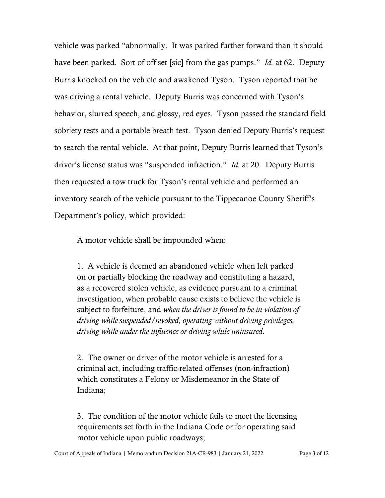vehicle was parked "abnormally. It was parked further forward than it should have been parked. Sort of off set [sic] from the gas pumps." *Id.* at 62. Deputy Burris knocked on the vehicle and awakened Tyson. Tyson reported that he was driving a rental vehicle. Deputy Burris was concerned with Tyson's behavior, slurred speech, and glossy, red eyes. Tyson passed the standard field sobriety tests and a portable breath test. Tyson denied Deputy Burris's request to search the rental vehicle. At that point, Deputy Burris learned that Tyson's driver's license status was "suspended infraction." *Id.* at 20. Deputy Burris then requested a tow truck for Tyson's rental vehicle and performed an inventory search of the vehicle pursuant to the Tippecanoe County Sheriff's Department's policy, which provided:

A motor vehicle shall be impounded when:

1. A vehicle is deemed an abandoned vehicle when left parked on or partially blocking the roadway and constituting a hazard, as a recovered stolen vehicle, as evidence pursuant to a criminal investigation, when probable cause exists to believe the vehicle is subject to forfeiture, and *when the driver is found to be in violation of driving while suspended/revoked, operating without driving privileges, driving while under the influence or driving while uninsured*.

2. The owner or driver of the motor vehicle is arrested for a criminal act, including traffic-related offenses (non-infraction) which constitutes a Felony or Misdemeanor in the State of Indiana;

3. The condition of the motor vehicle fails to meet the licensing requirements set forth in the Indiana Code or for operating said motor vehicle upon public roadways;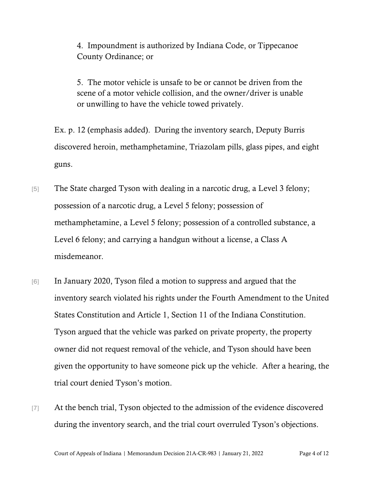4. Impoundment is authorized by Indiana Code, or Tippecanoe County Ordinance; or

5. The motor vehicle is unsafe to be or cannot be driven from the scene of a motor vehicle collision, and the owner/driver is unable or unwilling to have the vehicle towed privately.

Ex. p. 12 (emphasis added). During the inventory search, Deputy Burris discovered heroin, methamphetamine, Triazolam pills, glass pipes, and eight guns.

- [5] The State charged Tyson with dealing in a narcotic drug, a Level 3 felony; possession of a narcotic drug, a Level 5 felony; possession of methamphetamine, a Level 5 felony; possession of a controlled substance, a Level 6 felony; and carrying a handgun without a license, a Class A misdemeanor.
- [6] In January 2020, Tyson filed a motion to suppress and argued that the inventory search violated his rights under the Fourth Amendment to the United States Constitution and Article 1, Section 11 of the Indiana Constitution. Tyson argued that the vehicle was parked on private property, the property owner did not request removal of the vehicle, and Tyson should have been given the opportunity to have someone pick up the vehicle. After a hearing, the trial court denied Tyson's motion.
- [7] At the bench trial, Tyson objected to the admission of the evidence discovered during the inventory search, and the trial court overruled Tyson's objections.

Court of Appeals of Indiana | Memorandum Decision 21A-CR-983 | January 21, 2022 Page 4 of 12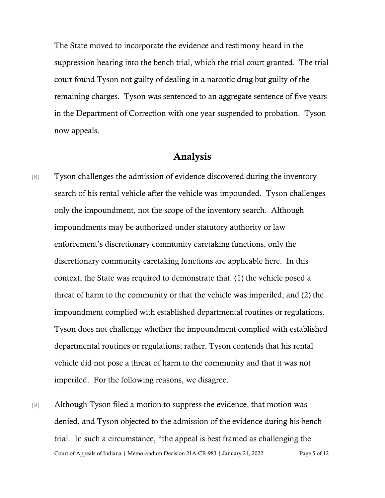The State moved to incorporate the evidence and testimony heard in the suppression hearing into the bench trial, which the trial court granted. The trial court found Tyson not guilty of dealing in a narcotic drug but guilty of the remaining charges. Tyson was sentenced to an aggregate sentence of five years in the Department of Correction with one year suspended to probation. Tyson now appeals.

## Analysis

- [8] Tyson challenges the admission of evidence discovered during the inventory search of his rental vehicle after the vehicle was impounded. Tyson challenges only the impoundment, not the scope of the inventory search. Although impoundments may be authorized under statutory authority or law enforcement's discretionary community caretaking functions, only the discretionary community caretaking functions are applicable here. In this context, the State was required to demonstrate that: (1) the vehicle posed a threat of harm to the community or that the vehicle was imperiled; and (2) the impoundment complied with established departmental routines or regulations. Tyson does not challenge whether the impoundment complied with established departmental routines or regulations; rather, Tyson contends that his rental vehicle did not pose a threat of harm to the community and that it was not imperiled. For the following reasons, we disagree.
- Court of Appeals of Indiana | Memorandum Decision 21A-CR-983 | January 21, 2022 Page 5 of 12 [9] Although Tyson filed a motion to suppress the evidence, that motion was denied, and Tyson objected to the admission of the evidence during his bench trial. In such a circumstance, "the appeal is best framed as challenging the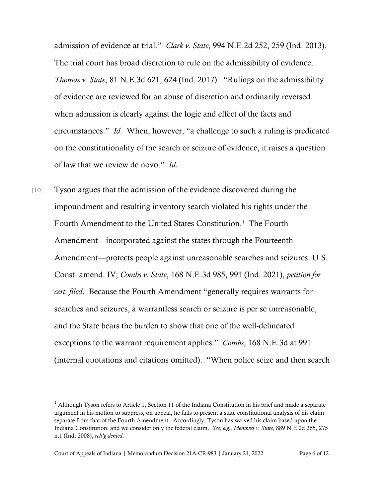admission of evidence at trial." *Clark v. State*, 994 N.E.2d 252, 259 (Ind. 2013). The trial court has broad discretion to rule on the admissibility of evidence. *Thomas v. State*, 81 N.E.3d 621, 624 (Ind. 2017). "Rulings on the admissibility of evidence are reviewed for an abuse of discretion and ordinarily reversed when admission is clearly against the logic and effect of the facts and circumstances." *Id.* When, however, "a challenge to such a ruling is predicated on the constitutionality of the search or seizure of evidence, it raises a question of law that we review de novo." *Id.*

[10] Tyson argues that the admission of the evidence discovered during the impoundment and resulting inventory search violated his rights under the Fourth Amendment to the United States Constitution.<sup>[1](#page-5-0)</sup> The Fourth Amendment—incorporated against the states through the Fourteenth Amendment—protects people against unreasonable searches and seizures. U.S. Const. amend. IV; *Combs v. State*, 168 N.E.3d 985, 991 (Ind. 2021), *petition for cert. filed*. Because the Fourth Amendment "generally requires warrants for searches and seizures, a warrantless search or seizure is per se unreasonable, and the State bears the burden to show that one of the well-delineated exceptions to the warrant requirement applies." *Combs*, 168 N.E.3d at 991 (internal quotations and citations omitted). "When police seize and then search

<span id="page-5-0"></span> $<sup>1</sup>$  Although Tyson refers to Article 1, Section 11 of the Indiana Constitution in his brief and made a separate</sup> argument in his motion to suppress, on appeal, he fails to present a state constitutional analysis of his claim separate from that of the Fourth Amendment. Accordingly, Tyson has waived his claim based upon the Indiana Constitution, and we consider only the federal claim. *See, e.g., Membres v. State*, 889 N.E.2d 265, 275 n.1 (Ind. 2008), *reh'g denied*.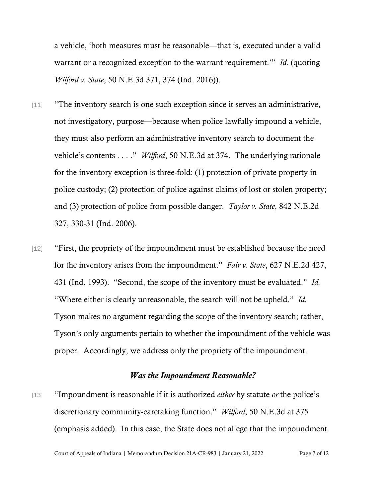a vehicle, 'both measures must be reasonable—that is, executed under a valid warrant or a recognized exception to the warrant requirement.'" *Id.* (quoting *Wilford v. State*, 50 N.E.3d 371, 374 (Ind. 2016)).

- [11] "The inventory search is one such exception since it serves an administrative, not investigatory, purpose—because when police lawfully impound a vehicle, they must also perform an administrative inventory search to document the vehicle's contents . . . ." *Wilford*, 50 N.E.3d at 374. The underlying rationale for the inventory exception is three-fold: (1) protection of private property in police custody; (2) protection of police against claims of lost or stolen property; and (3) protection of police from possible danger. *Taylor v. State*, 842 N.E.2d 327, 330-31 (Ind. 2006).
- [12] "First, the propriety of the impoundment must be established because the need for the inventory arises from the impoundment." *Fair v. State*, 627 N.E.2d 427, 431 (Ind. 1993). "Second, the scope of the inventory must be evaluated." *Id.* "Where either is clearly unreasonable, the search will not be upheld." *Id.* Tyson makes no argument regarding the scope of the inventory search; rather, Tyson's only arguments pertain to whether the impoundment of the vehicle was proper. Accordingly, we address only the propriety of the impoundment.

## *Was the Impoundment Reasonable?*

[13] "Impoundment is reasonable if it is authorized *either* by statute *or* the police's discretionary community-caretaking function." *Wilford*, 50 N.E.3d at 375 (emphasis added). In this case, the State does not allege that the impoundment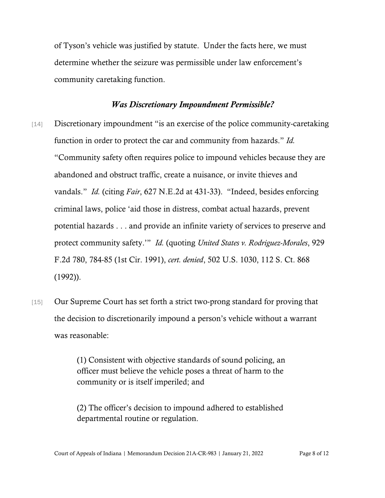of Tyson's vehicle was justified by statute. Under the facts here, we must determine whether the seizure was permissible under law enforcement's community caretaking function.

## *Was Discretionary Impoundment Permissible?*

- [14] Discretionary impoundment "is an exercise of the police community-caretaking function in order to protect the car and community from hazards." *Id.* "Community safety often requires police to impound vehicles because they are abandoned and obstruct traffic, create a nuisance, or invite thieves and vandals." *Id.* (citing *Fair*, 627 N.E.2d at 431-33). "Indeed, besides enforcing criminal laws, police 'aid those in distress, combat actual hazards, prevent potential hazards . . . and provide an infinite variety of services to preserve and protect community safety.'" *Id.* (quoting *United States v. Rodriguez-Morales*, 929 F.2d 780, 784-85 (1st Cir. 1991), *cert. denied*, 502 U.S. 1030, 112 S. Ct. 868 (1992)).
- [15] Our Supreme Court has set forth a strict two-prong standard for proving that the decision to discretionarily impound a person's vehicle without a warrant was reasonable:

(1) Consistent with objective standards of sound policing, an officer must believe the vehicle poses a threat of harm to the community or is itself imperiled; and

(2) The officer's decision to impound adhered to established departmental routine or regulation.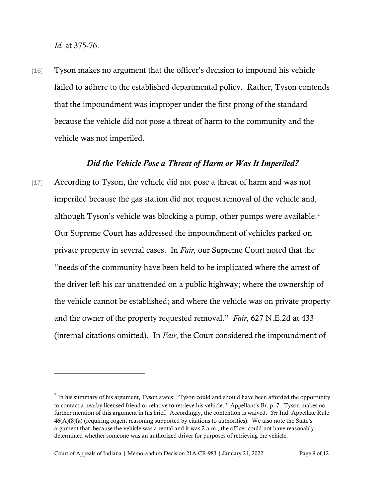*Id.* at 375-76.

[16] Tyson makes no argument that the officer's decision to impound his vehicle failed to adhere to the established departmental policy. Rather, Tyson contends that the impoundment was improper under the first prong of the standard because the vehicle did not pose a threat of harm to the community and the vehicle was not imperiled.

## *Did the Vehicle Pose a Threat of Harm or Was It Imperiled?*

[17] According to Tyson, the vehicle did not pose a threat of harm and was not imperiled because the gas station did not request removal of the vehicle and, although Tyson's vehicle was blocking a pump, other pumps were available. [2](#page-8-0) Our Supreme Court has addressed the impoundment of vehicles parked on private property in several cases. In *Fair*, our Supreme Court noted that the "needs of the community have been held to be implicated where the arrest of the driver left his car unattended on a public highway; where the ownership of the vehicle cannot be established; and where the vehicle was on private property and the owner of the property requested removal." *Fair*, 627 N.E.2d at 433 (internal citations omitted). In *Fair*, the Court considered the impoundment of

<span id="page-8-0"></span> $2$  In his summary of his argument, Tyson states: "Tyson could and should have been afforded the opportunity to contact a nearby licensed friend or relative to retrieve his vehicle." Appellant's Br. p. 7. Tyson makes no further mention of this argument in his brief. Accordingly, the contention is waived. *See* Ind. Appellate Rule 46(A)(8)(a) (requiring cogent reasoning supported by citations to authorities). We also note the State's argument that, because the vehicle was a rental and it was 2 a.m., the officer could not have reasonably determined whether someone was an authorized driver for purposes of retrieving the vehicle.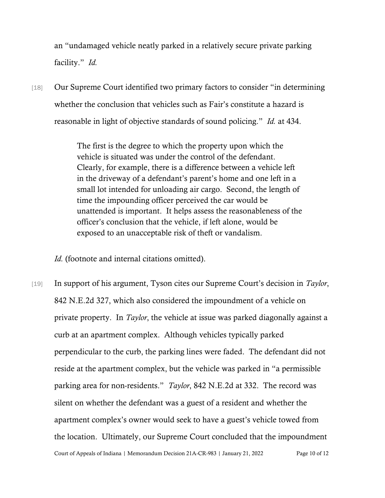an "undamaged vehicle neatly parked in a relatively secure private parking facility." *Id.*

[18] Our Supreme Court identified two primary factors to consider "in determining whether the conclusion that vehicles such as Fair's constitute a hazard is reasonable in light of objective standards of sound policing." *Id.* at 434.

> The first is the degree to which the property upon which the vehicle is situated was under the control of the defendant. Clearly, for example, there is a difference between a vehicle left in the driveway of a defendant's parent's home and one left in a small lot intended for unloading air cargo. Second, the length of time the impounding officer perceived the car would be unattended is important. It helps assess the reasonableness of the officer's conclusion that the vehicle, if left alone, would be exposed to an unacceptable risk of theft or vandalism.

*Id.* (footnote and internal citations omitted).

Court of Appeals of Indiana | Memorandum Decision 21A-CR-983 | January 21, 2022 Page 10 of 12 [19] In support of his argument, Tyson cites our Supreme Court's decision in *Taylor*, 842 N.E.2d 327, which also considered the impoundment of a vehicle on private property. In *Taylor*, the vehicle at issue was parked diagonally against a curb at an apartment complex. Although vehicles typically parked perpendicular to the curb, the parking lines were faded. The defendant did not reside at the apartment complex, but the vehicle was parked in "a permissible parking area for non-residents." *Taylor*, 842 N.E.2d at 332. The record was silent on whether the defendant was a guest of a resident and whether the apartment complex's owner would seek to have a guest's vehicle towed from the location. Ultimately, our Supreme Court concluded that the impoundment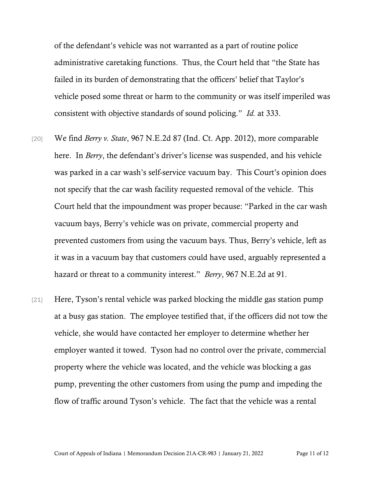of the defendant's vehicle was not warranted as a part of routine police administrative caretaking functions. Thus, the Court held that "the State has failed in its burden of demonstrating that the officers' belief that Taylor's vehicle posed some threat or harm to the community or was itself imperiled was consistent with objective standards of sound policing." *Id.* at 333.

- [20] We find *Berry v. State*, 967 N.E.2d 87 (Ind. Ct. App. 2012), more comparable here. In *Berry*, the defendant's driver's license was suspended, and his vehicle was parked in a car wash's self-service vacuum bay. This Court's opinion does not specify that the car wash facility requested removal of the vehicle. This Court held that the impoundment was proper because: "Parked in the car wash vacuum bays, Berry's vehicle was on private, commercial property and prevented customers from using the vacuum bays. Thus, Berry's vehicle, left as it was in a vacuum bay that customers could have used, arguably represented a hazard or threat to a community interest." *Berry*, 967 N.E.2d at 91.
- [21] Here, Tyson's rental vehicle was parked blocking the middle gas station pump at a busy gas station. The employee testified that, if the officers did not tow the vehicle, she would have contacted her employer to determine whether her employer wanted it towed. Tyson had no control over the private, commercial property where the vehicle was located, and the vehicle was blocking a gas pump, preventing the other customers from using the pump and impeding the flow of traffic around Tyson's vehicle. The fact that the vehicle was a rental